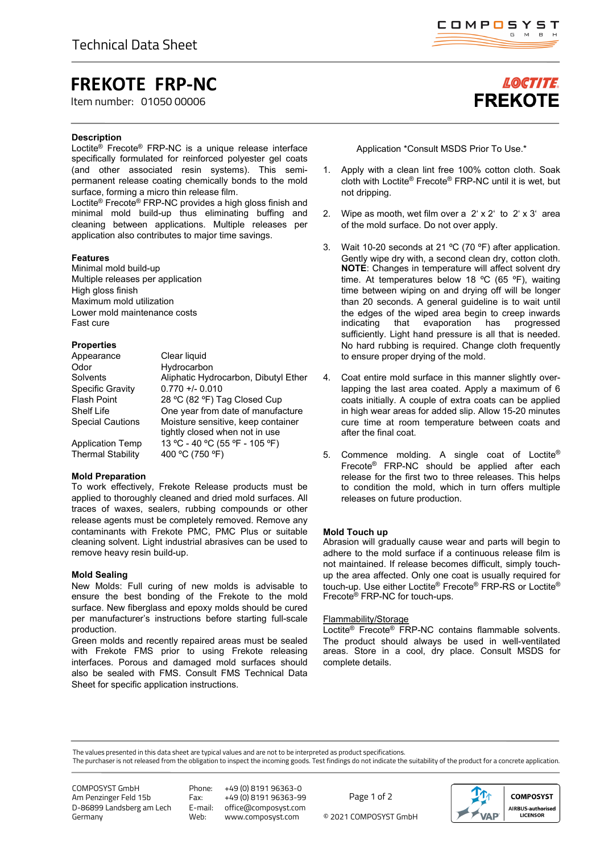# **FREKOTE FRP-NC**

Item number: 01050 00006

### **Description**

Loctite® Frecote® FRP-NC is a unique release interface specifically formulated for reinforced polyester gel coats (and other associated resin systems). This semipermanent release coating chemically bonds to the mold surface, forming a micro thin release film.

Loctite® Frecote® FRP-NC provides a high gloss finish and minimal mold build-up thus eliminating buffing and cleaning between applications. Multiple releases per application also contributes to major time savings.

### **Features**

Minimal mold build-up Multiple releases per application High gloss finish Maximum mold utilization Lower mold maintenance costs Fast cure

### **Properties**

| Appearance                                          | Clear liquid                                                         |
|-----------------------------------------------------|----------------------------------------------------------------------|
| Odor                                                | Hydrocarbon                                                          |
| Solvents                                            | Aliphatic Hydrocarbon, Dibutyl Ether                                 |
| Specific Gravity                                    | $0.770 + 0.010$                                                      |
| <b>Flash Point</b>                                  | 28 °C (82 °F) Tag Closed Cup                                         |
| <b>Shelf Life</b>                                   | One year from date of manufacture                                    |
| <b>Special Cautions</b>                             | Moisture sensitive, keep container<br>tightly closed when not in use |
| <b>Application Temp</b><br><b>Thermal Stability</b> | 13 °C - 40 °C (55 °F - 105 °F)<br>400 °C (750 °F)                    |
|                                                     |                                                                      |

### **Mold Preparation**

To work effectively, Frekote Release products must be applied to thoroughly cleaned and dried mold surfaces. All traces of waxes, sealers, rubbing compounds or other release agents must be completely removed. Remove any contaminants with Frekote PMC, PMC Plus or suitable cleaning solvent. Light industrial abrasives can be used to remove heavy resin build-up.

### **Mold Sealing**

New Molds: Full curing of new molds is advisable to ensure the best bonding of the Frekote to the mold surface. New fiberglass and epoxy molds should be cured per manufacturer's instructions before starting full-scale production.

Green molds and recently repaired areas must be sealed with Frekote FMS prior to using Frekote releasing interfaces. Porous and damaged mold surfaces should also be sealed with FMS. Consult FMS Technical Data Sheet for specific application instructions.

Application \*Consult MSDS Prior To Use.\*

- 1. Apply with a clean lint free 100% cotton cloth. Soak cloth with Loctite® Frecote® FRP-NC until it is wet, but not dripping.
- 2. Wipe as mooth, wet film over a  $2' \times 2'$  to  $2' \times 3'$  area of the mold surface. Do not over apply.
- 3. Wait 10-20 seconds at 21 ºC (70 ºF) after application. Gently wipe dry with, a second clean dry, cotton cloth. **NOTE**: Changes in temperature will affect solvent dry time. At temperatures below 18 ºC (65 ºF), waiting time between wiping on and drying off will be longer than 20 seconds. A general guideline is to wait until the edges of the wiped area begin to creep inwards indicating that evaporation has progressed sufficiently. Light hand pressure is all that is needed. No hard rubbing is required. Change cloth frequently to ensure proper drying of the mold.
- 4. Coat entire mold surface in this manner slightly overlapping the last area coated. Apply a maximum of 6 coats initially. A couple of extra coats can be applied in high wear areas for added slip. Allow 15-20 minutes cure time at room temperature between coats and after the final coat.
- 5. Commence molding. A single coat of Loctite® Frecote® FRP-NC should be applied after each release for the first two to three releases. This helps to condition the mold, which in turn offers multiple releases on future production.

### **Mold Touch up**

Abrasion will gradually cause wear and parts will begin to adhere to the mold surface if a continuous release film is not maintained. If release becomes difficult, simply touchup the area affected. Only one coat is usually required for touch-up. Use either Loctite® Frecote® FRP-RS or Loctite® Frecote® FRP-NC for touch-ups.

### Flammability/Storage

Loctite® Frecote® FRP-NC contains flammable solvents. The product should always be used in well-ventilated areas. Store in a cool, dry place. Consult MSDS for complete details.

The values presented in this data sheet are typical values and are not to be interpreted as product specifications.

The purchaser is not released from the obligation to inspect the incoming goods. Test findings do not indicate the suitability of the product for a concrete application.

COMPOSYST GmbH Am Penzinger Feld 15b D-86899 Landsberg am Lech Germany

Phone: +49 (0) 8191 96363-0 Fax: +49 (0) 8191 96363-99<br>E-mail: office@composyst.com E-mail: office@composyst.com

© 2021 COMPOSYST GmbH Page 1 of 2





# **LOCTITE FREKOTE**